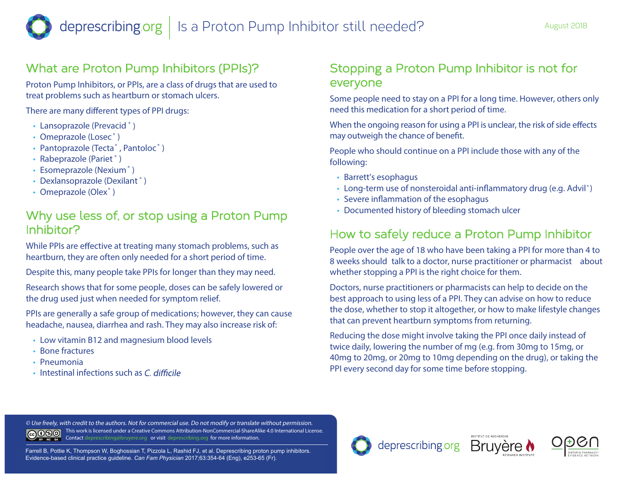# What are Proton Pump Inhibitors (PPIs)?

Proton Pump Inhibitors, or PPIs, are a class of drugs that are used to treat problems such as heartburn or stomach ulcers.

There are many different types of PPI drugs:

- Lansoprazole (Prevacid<sup>®</sup>)
- Omeprazole (Losec<sup>®</sup>)
- Pantoprazole (Tecta<sup>®</sup>, Pantoloc<sup>®</sup>)
- Rabeprazole (Pariet<sup>®</sup>)
- Esomeprazole (Nexium<sup>®</sup>)
- Dexlansoprazole (Dexilant ® )
- Omeprazole (Olex<sup>®</sup>)

### Why use less of, or stop using a Proton Pump Inhibitor?

While PPIs are effective at treating many stomach problems, such as heartburn, they are often only needed for a short period of time.

Despite this, many people take PPIs for longer than they may need.

Research shows that for some people, doses can be safely lowered or the drug used just when needed for symptom relief.

PPIs are generally a safe group of medications; however, they can cause headache, nausea, diarrhea and rash. They may also increase risk of:

- Low vitamin B12 and magnesium blood levels
- Bone fractures
- Pneumonia
- $\cdot$  Intestinal infections such as C difficile

# Stopping a Proton Pump Inhibitor is not for everyone

Some people need to stay on a PPI for a long time. However, others only need this medication for a short period of time.

When the ongoing reason for using a PPI is unclear, the risk of side effects may outweigh the chance of benefit.

People who should continue on a PPI include those with any of the following:

- Barrett's esophagus
- Long-term use of nonsteroidal anti-inflammatory drug (e.g. Advil<sup>®</sup>)
- Severe inflammation of the esophagus
- Documented history of bleeding stomach ulcer

# How to safely reduce a Proton Pump Inhibitor

People over the age of 18 who have been taking a PPI for more than 4 to 8 weeks should **talk to a doctor, nurse practitioner or pharmacist** about whether stopping a PPI is the right choice for them.

Doctors, nurse practitioners or pharmacists can help to decide on the best approach to using less of a PPI. They can advise on how to reduce the dose, whether to stop it altogether, or how to make lifestyle changes that can prevent heartburn symptoms from returning.

Reducing the dose might involve taking the PPI once daily instead of twice daily, lowering the number of mg (e.g. from 30mg to 15mg, or 40mg to 20mg, or 20mg to 10mg depending on the drug), or taking the PPI every second day for some time before stopping.

**© Use freely, with credit to the authors. Not for commercial use. Do not modify or translate without permission.**  This work is licensed under a Creative Commons Attribution-NonCommercial-ShareAlike 4.0 International License. Contact deprescribing@bruyere.org or visit deprescribing.org for more information. BY NC SA

Farrell B, Pottie K, Thompson W, Boghossian T, Pizzola L, Rashid FJ, et al. Deprescribing proton pump inhibitors. Evidence-based clinical practice guideline. *Can Fam Physician* 2017;63:354-64 (Eng), e253-65 (Fr).